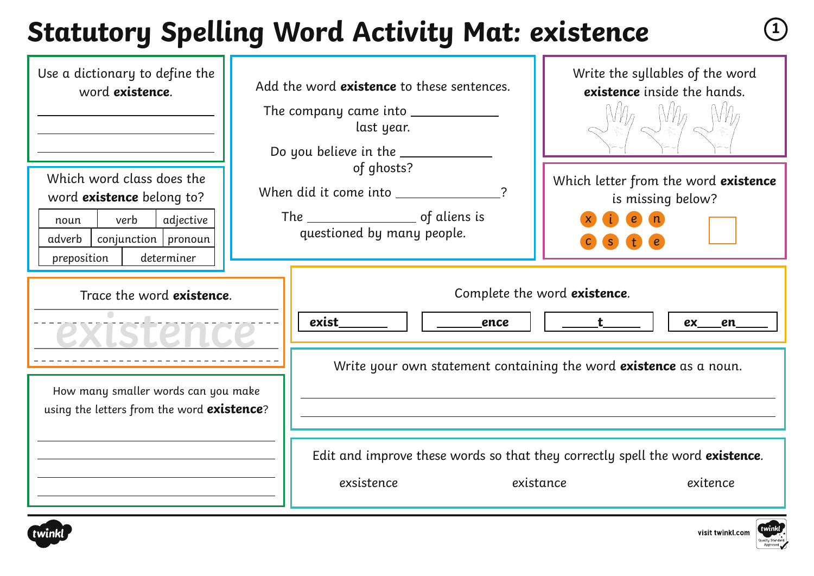#### **Statutory Spelling Word Activity Mat: existence <sup>1</sup>**

| Use a dictionary to define the<br>word existence.<br>Which word class does the<br>word <b>existence</b> belong to?<br>verb<br>adjective<br>noun<br>$conjunction$   pronoun<br>adverb<br>preposition<br>determiner | Add the word existence to these sentences.<br>The company came into _____________<br>last year.<br>Do you believe in the ___________<br>of ghosts?<br>When did it come into _____________?<br>questioned by many people. | Write the syllables of the word<br>existence inside the hands.<br>Which letter from the word existence<br>is missing below?<br>S                     |
|-------------------------------------------------------------------------------------------------------------------------------------------------------------------------------------------------------------------|--------------------------------------------------------------------------------------------------------------------------------------------------------------------------------------------------------------------------|------------------------------------------------------------------------------------------------------------------------------------------------------|
| Trace the word existence.<br>How many smaller words can you make<br>using the letters from the word existence?                                                                                                    | exist<br>ence<br>Edit and improve these words so that they correctly spell the word existence.<br>exsistence                                                                                                             | Complete the word existence.<br>$\frac{t}{t}$<br>ex en<br>Write your own statement containing the word existence as a noun.<br>existance<br>exitence |



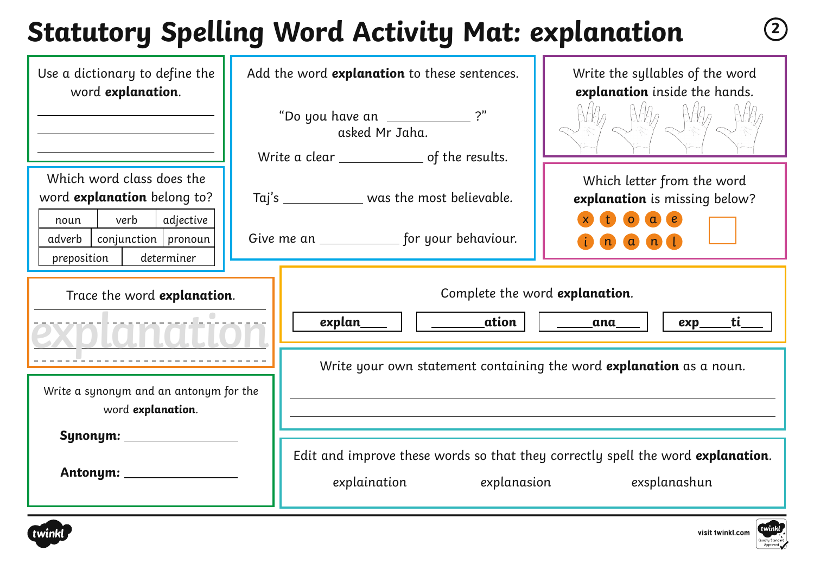## **Statutory Spelling Word Activity Mat: explanation <sup>2</sup>**

| Use a dictionary to define the<br>word explanation.                                                                                                   | Add the word explanation to these sentences.<br>"Do you have an _______________?"<br>asked Mr Jaha.            | Write the syllables of the word<br>explanation inside the hands.                                                                                                               |
|-------------------------------------------------------------------------------------------------------------------------------------------------------|----------------------------------------------------------------------------------------------------------------|--------------------------------------------------------------------------------------------------------------------------------------------------------------------------------|
| Which word class does the<br>word explanation belong to?<br>verb<br>adjective<br>noun<br>$conjunction$ pronoun<br>adverb<br>preposition<br>determiner | Taj's ______________ was the most believable.<br>Give me an ______________ for your behaviour.                 | Which letter from the word<br>explanation is missing below?<br>$\bullet$<br>$\alpha$<br>$\epsilon$<br>$\blacksquare$<br>$\alpha$ $\alpha$ $\beta$                              |
| Trace the word explanation.                                                                                                                           | <b>ation</b><br>explan____<br>Write your own statement containing the word explanation as a noun.              | Complete the word explanation.<br><u>ti _</u><br><u>ana manda a massa a sensua a massa a massa a sensua di massa di serie da la serie da la serie da la serie da</u><br>$exp_$ |
| Write a synonym and an antonym for the<br>word explanation.                                                                                           | Edit and improve these words so that they correctly spell the word explanation.<br>explanasion<br>explaination | exsplanashun                                                                                                                                                                   |



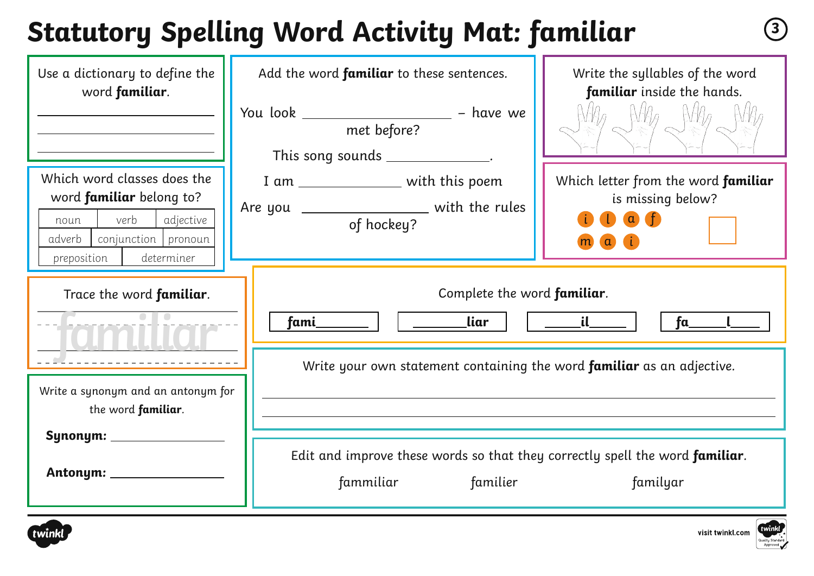## **Statutory Spelling Word Activity Mat: familiar <sup>3</sup>**

| Use a dictionary to define the<br>word familiar.                                                                                                          | Add the word familiar to these sentences.<br>You look ______________________ - have we<br>met before?<br>This song sounds ______________. | Write the syllables of the word<br>familiar inside the hands.<br>$N$ $\theta$ $N$ $\theta$ $N$ $\theta$ |
|-----------------------------------------------------------------------------------------------------------------------------------------------------------|-------------------------------------------------------------------------------------------------------------------------------------------|---------------------------------------------------------------------------------------------------------|
| Which word classes does the<br>word <b>familiar</b> belong to?<br>verb<br>adjective<br>noun<br>conjunction pronoun<br>adverb<br>preposition<br>determiner | I am _________________ with this poem<br>Are you _________________ with the rules<br>of hockey?                                           | Which letter from the word familiar<br>is missing below?<br>$\mathbf{D}$ as $\mathbf{D}$<br>$\alpha$    |
| Trace the word familiar.                                                                                                                                  | Complete the word familiar.<br><u>liar</u><br>fami_                                                                                       | $\mathbf{d}$<br>fa                                                                                      |
| Write a synonym and an antonym for<br>the word familiar.<br>Synonym: ____________                                                                         | Write your own statement containing the word <b>familiar</b> as an adjective.                                                             |                                                                                                         |
|                                                                                                                                                           | Edit and improve these words so that they correctly spell the word familiar.<br>fammiliar<br>familier                                     | familyar                                                                                                |



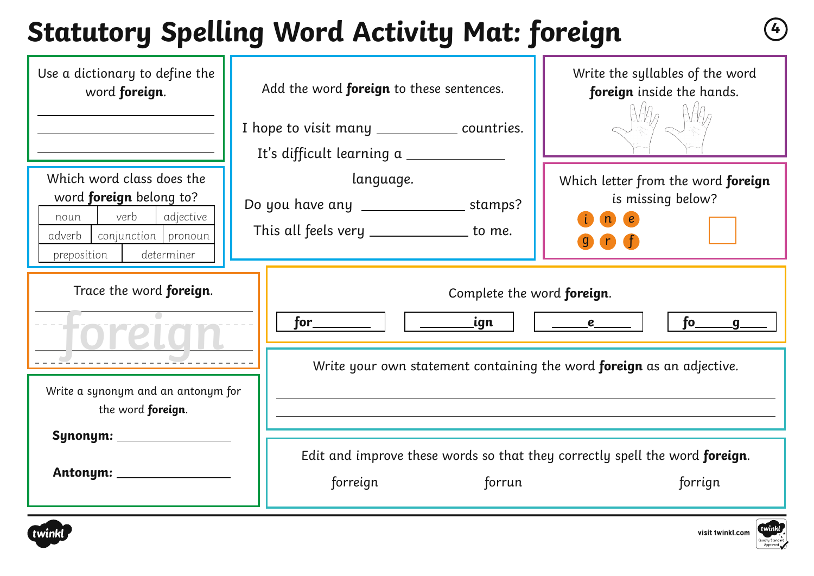## **Statutory Spelling Word Activity Mat: foreign <sup>4</sup>**

| Use a dictionary to define the<br>word foreign.                                                                                                        | Add the word foreign to these sentences.                                                                     | Write the syllables of the word<br>foreign inside the hands.                       |  |  |
|--------------------------------------------------------------------------------------------------------------------------------------------------------|--------------------------------------------------------------------------------------------------------------|------------------------------------------------------------------------------------|--|--|
|                                                                                                                                                        | I hope to visit many ______________ countries.<br>It's difficult learning a                                  |                                                                                    |  |  |
| Which word class does the<br>word <b>foreign</b> belong to?<br>verb<br>adjective<br>noun<br>conjunction pronoun<br>adverb<br>determiner<br>preposition | language.<br>Do you have any ___________________ stamps?<br>This all feels very _____________ to me.         | Which letter from the word foreign<br>is missing below?<br>$\epsilon$<br>$\bullet$ |  |  |
| Trace the word <b>foreign</b> .                                                                                                                        | Complete the word foreign.<br>_ign<br>$for \_\_$<br>fo_____g_<br>e                                           |                                                                                    |  |  |
| Write a synonym and an antonym for<br>the word foreign.                                                                                                | Write your own statement containing the word foreign as an adjective.                                        |                                                                                    |  |  |
| Synonym: ___________<br>Antonym: ___________                                                                                                           | Edit and improve these words so that they correctly spell the word foreign.<br>forreign<br>forrun<br>forrign |                                                                                    |  |  |